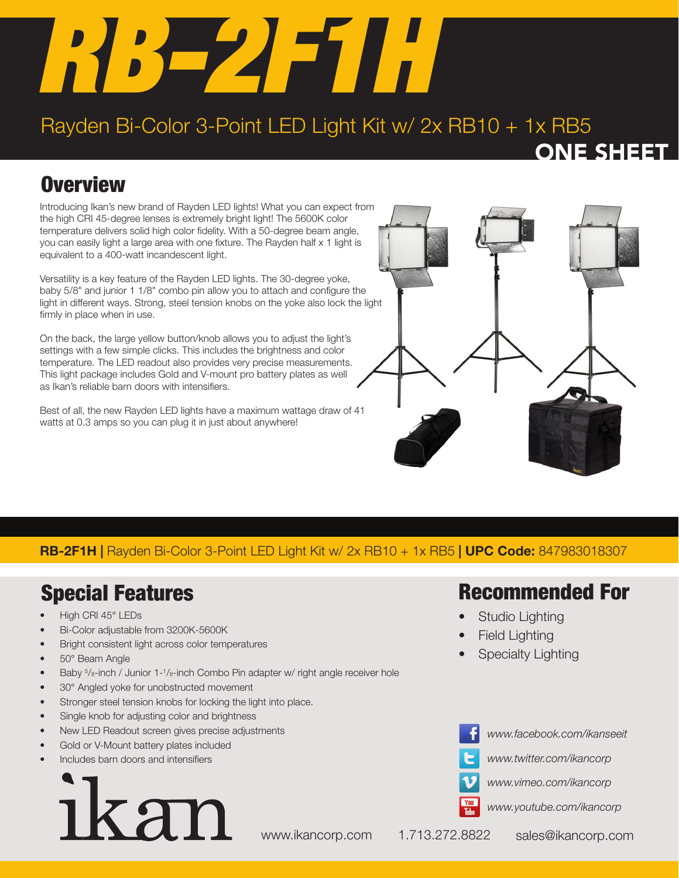

## Rayden Bi-Color 3-Point LED Light Kit w/ 2x RB10 + 1x RB5

ONE SHEET

## **Overview**

Introducing Ikan's new brand of Rayden LED lights! What you can expect from the high CRI 45-degree lenses is extremely bright light! The 5600K color temperature delivers solid high color fidelity. With a 50-degree beam angle, you can easily light a large area with one fixture. The Rayden half x 1 light is equivalent to a 400-watt incandescent light.

Versatility is a key feature of the Rayden LED lights. The 30-degree yoke, baby 5/8" and junior 1 1/8" combo pin allow you to attach and configure the light in different ways. Strong, steel tension knobs on the yoke also lock the light firmly in place when in use.

On the back, the large yellow button/knob allows you to adjust the light's settings with a few simple clicks. This includes the brightness and color temperature. The LED readout also provides very precise measurements. This light package includes Gold and V-mount pro battery plates as well as Ikan's reliable barn doors with intensifiers.

Best of all, the new Rayden LED lights have a maximum wattage draw of 41 watts at 0.3 amps so you can plug it in just about anywhere!



#### RB-2F1H | Rayden Bi-Color 3-Point LED Light Kit w/ 2x RB10 + 1x RB5 | UPC Code: 847983018307

## Special Features

- High CRI 45° LEDs
- Bi-Color adjustable from 3200K-5600K
- Bright consistent light across color temperatures
- 50° Beam Angle
- Baby  $5/8$ -inch / Junior 1-1/8-inch Combo Pin adapter w/ right angle receiver hole
- 30° Angled yoke for unobstructed movement
- Stronger steel tension knobs for locking the light into place.
- Single knob for adjusting color and brightness
- New LED Readout screen gives precise adjustments
- Gold or V-Mount battery plates included
- Includes barn doors and intensifiers



### Recommended For

- Studio Lighting
- **Field Lighting**
- Specialty Lighting



*www.facebook.com/ikanseeit*

*www.twitter.com/ikancorp*



*www.youtube.com/ikancorp*

www.ikancorp.com 1.713.272.8822 sales@ikancorp.com